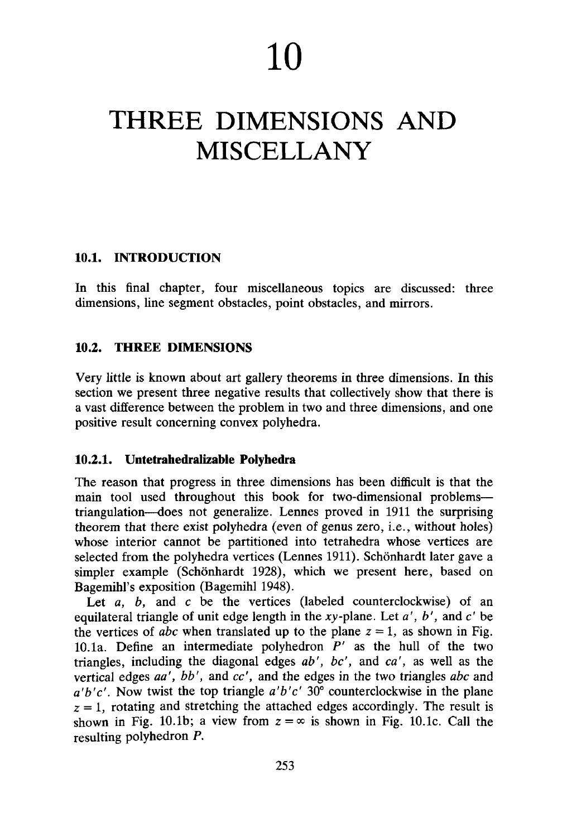**10**

# THREE DIMENSIONS AND MISCELLANY

## **10.1. INTRODUCTION**

In this final chapter, four miscellaneous topics are discussed: three dimensions, line segment obstacles, point obstacles, and mirrors.

## **10.2. THREE DIMENSIONS**

Very little is known about art gallery theorems in three dimensions. In this section we present three negative results that collectively show that there is a vast difference between the problem in two and three dimensions, and one positive result concerning convex polyhedra.

## **10.2.1. Untetrahedralizable Polyhedra**

The reason that progress in three dimensions has been difficult is that the main tool used throughout this book for two-dimensional problems triangulation—does not generalize. Lennes proved in 1911 the surprising theorem that there exist polyhedra (even of genus zero, i.e., without holes) whose interior cannot be partitioned into tetrahedra whose vertices are selected from the polyhedra vertices (Lennes 1911). Schönhardt later gave a simpler example (Schönhardt 1928), which we present here, based on Bagemihl's exposition (Bagemihl 1948).

Let *a*, *b*, and *c* be the vertices (labeled counterclockwise) of an equilateral triangle of unit edge length in the *xy*-plane. Let *a', b',* and *c'* be the vertices of *abc* when translated up to the plane  $z = 1$ , as shown in Fig. 10.1a. Define an intermediate polyhedron *P'* as the hull of the two triangles, including the diagonal edges *ab', be',* and *ca',* as well as the vertical edges *aa', bb',* and *cc',* and the edges in the two triangles *abc* and *a'b'c'.* Now twist the top triangle *a'b'c'* 30° counterclockwise in the plane  $z = 1$ , rotating and stretching the attached edges accordingly. The result is shown in Fig. 10.1b; a view from  $z = \infty$  is shown in Fig. 10.1c. Call the resulting polyhedron *P.*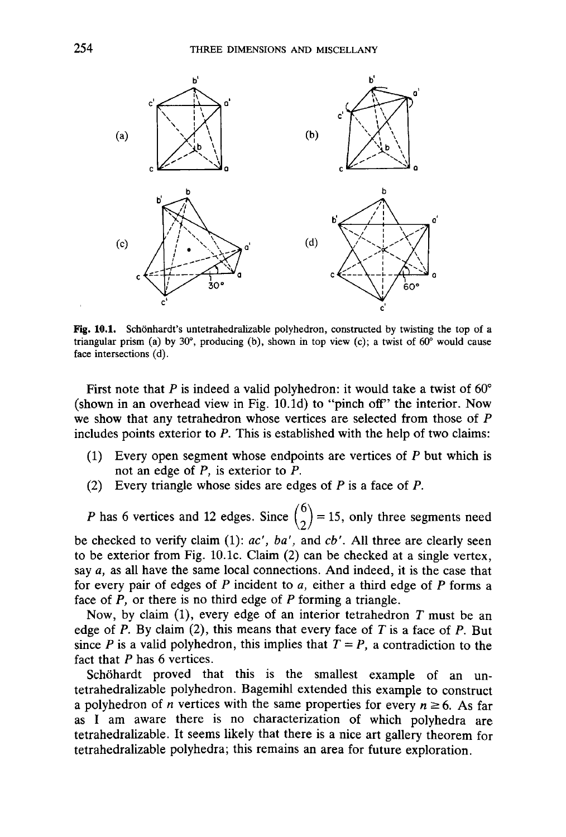

Fig. 10.1. Schönhardt's untetrahedralizable polyhedron, constructed by twisting the top of a triangular prism (a) by 30 $^{\circ}$ , producing (b), shown in top view (c); a twist of 60 $^{\circ}$  would cause face intersections (d).

First note that *P* is indeed a valid polyhedron: it would take a twist of 60° (shown in an overhead view in Fig. 10.Id) to "pinch off" the interior. Now we show that any tetrahedron whose vertices are selected from those of *P* includes points exterior to *P.* This is established with the help of two claims:

- (1) Every open segment whose endpoints are vertices of *P* but which is not an edge of *P,* is exterior to *P.*
- (2) Every triangle whose sides are edges of *P* is a face of *P.*

*P* has 6 vertices and 12 edges. Since  $\binom{6}{2}$  = 15, only three segments need be checked to verify claim (1): *ac', ba',* and *cb'.* All three are clearly seen to be exterior from Fig. 10.1c. Claim (2) can be checked at a single vertex, say *a,* as all have the same local connections. And indeed, it is the case that for every pair of edges of *P* incident to *a,* either a third edge of *P* forms a face of *P,* or there is no third edge of *P* forming a triangle.

Now, by claim (1), every edge of an interior tetrahedron *T* must be an edge of *P.* By claim (2), this means that every face of *T* is a face of *P.* But since *P* is a valid polyhedron, this implies that  $T = P$ , a contradiction to the fact that *P* has 6 vertices.

Schöhardt proved that this is the smallest example of an untetrahedralizable polyhedron. Bagemihl extended this example to construct a polyhedron of *n* vertices with the same properties for every  $n \ge 6$ . As far as I am aware there is no characterization of which polyhedra are tetrahedralizable. It seems likely that there is a nice art gallery theorem for tetrahedralizable polyhedra; this remains an area for future exploration.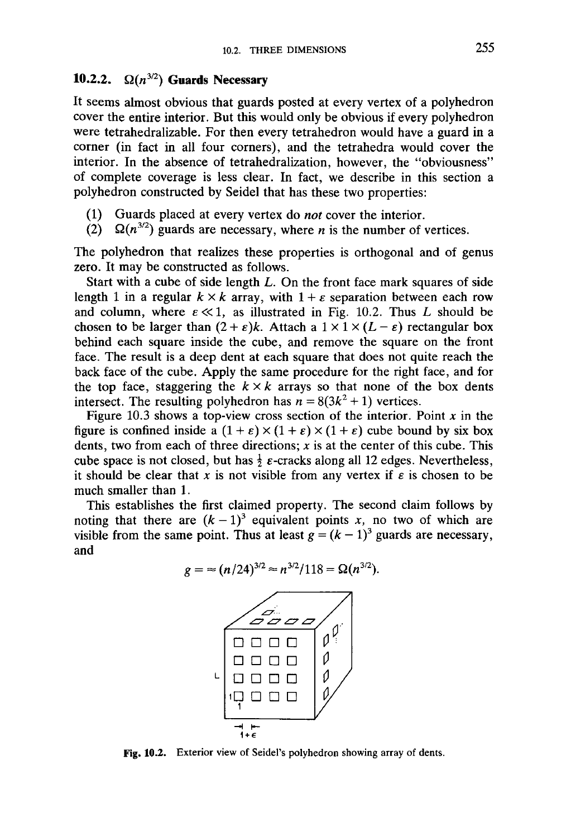# **10.2.2.**  $\Omega(n^{3/2})$  Guards Necessary

**It** seems almost obvious that guards posted at every vertex of a polyhedron cover the entire interior. But this would only be obvious if every polyhedron were tetrahedralizable. For then every tetrahedron would have a guard in a corner (in fact in all four corners), and the tetrahedra would cover the interior. In the absence of tetrahedralization, however, the "obviousness" of complete coverage is less clear. In fact, we describe in this section a polyhedron constructed by Seidel that has these two properties:

- (1) Guards placed at every vertex do *not* cover the interior.
- (2)  $\Omega(n^{3/2})$  guards are necessary, where *n* is the number of vertices.

The polyhedron that realizes these properties is orthogonal and of genus zero. It may be constructed as follows.

Start with a cube of side length *L.* On the front face mark squares of side length 1 in a regular  $k \times k$  array, with  $1 + \varepsilon$  separation between each row and column, where  $\varepsilon \ll 1$ , as illustrated in Fig. 10.2. Thus *L* should be chosen to be larger than  $(2 + \varepsilon)k$ . Attach a  $1 \times 1 \times (L - \varepsilon)$  rectangular box behind each square inside the cube, and remove the square on the front face. The result is a deep dent at each square that does not quite reach the back face of the cube. Apply the same procedure for the right face, and for the top face, staggering the  $k \times k$  arrays so that none of the box dents intersect. The resulting polyhedron has  $n = 8(3k^2 + 1)$  vertices.

Figure 10.3 shows a top-view cross section of the interior. Point *x* in the figure is confined inside a  $(1 + \varepsilon) \times (1 + \varepsilon) \times (1 + \varepsilon)$  cube bound by six box dents, two from each of three directions; *x* is at the center of this cube. This cube space is not closed, but has  $\frac{1}{2} \varepsilon$ -cracks along all 12 edges. Nevertheless, it should be clear that x is not visible from any vertex if  $\varepsilon$  is chosen to be much smaller than 1.

This establishes the first claimed property. The second claim follows by noting that there are  $(k-1)^3$  equivalent points x, no two of which are visible from the same point. Thus at least  $g = (k - 1)^3$  guards are necessary, and

$$
g = \approx (n/24)^{3/2} \approx n^{3/2}/118 = \Omega(n^{3/2}).
$$



Fig. 10.2. Exterior view of Seidel's polyhedron showing array of dents.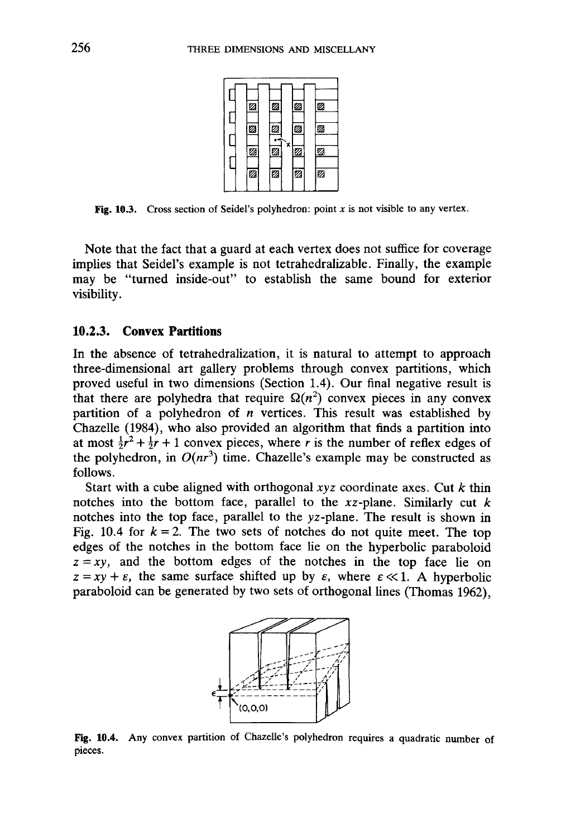

Fig. 10.3. Cross section of Seidel's polyhedron: point *x* is not visible to any vertex.

Note that the fact that a guard at each vertex does not suffice for coverage implies that Seidel's example is not tetrahedralizable. Finally, the example may be "turned inside-out" to establish the same bound for exterior visibility.

#### **10.2.3. Convex Partitions**

In the absence of tetrahedralization, it is natural to attempt to approach three-dimensional art gallery problems through convex partitions, which proved useful in two dimensions (Section 1.4). Our final negative result is that there are polyhedra that require  $\Omega(n^2)$  convex pieces in any convex partition of a polyhedron of *n* vertices. This result was established by Chazelle (1984), who also provided an algorithm that finds a partition into at most  $\frac{1}{2}r^2 + \frac{1}{2}r + 1$  convex pieces, where *r* is the number of reflex edges of the polyhedron, in  $O(nr^3)$  time. Chazelle's example may be constructed as follows.

Start with a cube aligned with orthogonal *xyz* coordinate axes. Cut *k* thin notches into the bottom face, parallel to the xz-plane. Similarly cut *k* notches into the top face, parallel to the vz-plane. The result is shown in Fig. 10.4 for  $k = 2$ . The two sets of notches do not quite meet. The top edges of the notches in the bottom face lie on the hyperbolic paraboloid  $z = xy$ , and the bottom edges of the notches in the top face lie on  $z = xy + \varepsilon$ , the same surface shifted up by  $\varepsilon$ , where  $\varepsilon \ll 1$ . A hyperbolic paraboloid can be generated by two sets of orthogonal lines (Thomas 1962),



Fig. 10.4. Any convex partition of Chazelle's polyhedron requires a quadratic number of pieces.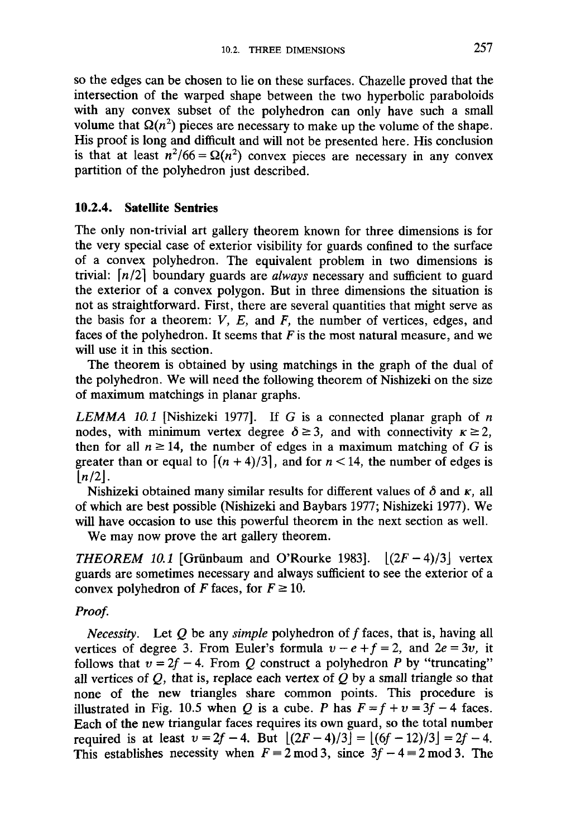so the edges can be chosen to lie on these surfaces. Chazelle proved that the intersection of the warped shape between the two hyperbolic paraboloids with any convex subset of the polyhedron can only have such a small volume that  $\Omega(n^2)$  pieces are necessary to make up the volume of the shape. His proof is long and difficult and will not be presented here. His conclusion is that at least  $n^2/66 = \Omega(n^2)$  convex pieces are necessary in any convex partition of the polyhedron just described.

# **10.2.4. Satellite Sentries**

The only non-trivial art gallery theorem known for three dimensions is for the very special case of exterior visibility for guards confined to the surface of a convex polyhedron. The equivalent problem in two dimensions is trivial: *\n/2]* boundary guards are *always* necessary and sufficient to guard the exterior of a convex polygon. But in three dimensions the situation is not as straightforward. First, there are several quantities that might serve as the basis for a theorem: *V, E,* and *F,* the number of vertices, edges, and faces of the polyhedron. It seems that *F* is the most natural measure, and we will use it in this section.

The theorem is obtained by using matchings in the graph of the dual of the polyhedron. We will need the following theorem of Nishizeki on the size of maximum matchings in planar graphs.

*LEMMA 10.1* [Nishizeki 1977]. If *G* is a connected planar graph of *n* nodes, with minimum vertex degree  $\delta \geq 3$ , and with connectivity  $\kappa \geq 2$ , then for all  $n \ge 14$ , the number of edges in a maximum matching of *G* is greater than or equal to  $\left[\frac{(n + 4)}{3}\right]$ , and for  $n < 14$ , the number of edges is  $\lfloor n/2 \rfloor$ .

Nishizeki obtained many similar results for different values of  $\delta$  and  $\kappa$ , all of which are best possible (Nishizeki and Baybars 1977; Nishizeki 1977). We will have occasion to use this powerful theorem in the next section as well.

We may now prove the art gallery theorem.

*THEOREM* 10.1 [Grünbaum and O'Rourke 1983].  $|(2F - 4)/3|$  vertex guards are sometimes necessary and always sufficient to see the exterior of a convex polyhedron of *F* faces, for  $F \ge 10$ .

# *Proof.*

*Necessity.* Let  $Q$  be any *simple* polyhedron of  $f$  faces, that is, having all vertices of degree 3. From Euler's formula  $v - e + f = 2$ , and  $2e = 3v$ , it follows that  $v = 2f - 4$ . From Q construct a polyhedron P by "truncating" all vertices of *Q,* that is, replace each vertex of *Q* by a small triangle so that none of the new triangles share common points. This procedure is illustrated in Fig. 10.5 when *Q* is a cube. *P* has  $F = f + v = 3f - 4$  faces. Each of the new triangular faces requires its own guard, so the total number required is at least  $v = 2f - 4$ . But  $[(2F-4)/3] = [(6f - 12)/3] = 2f - 4$ . This establishes necessity when  $F = 2 \mod 3$ , since  $3f - 4 = 2 \mod 3$ . The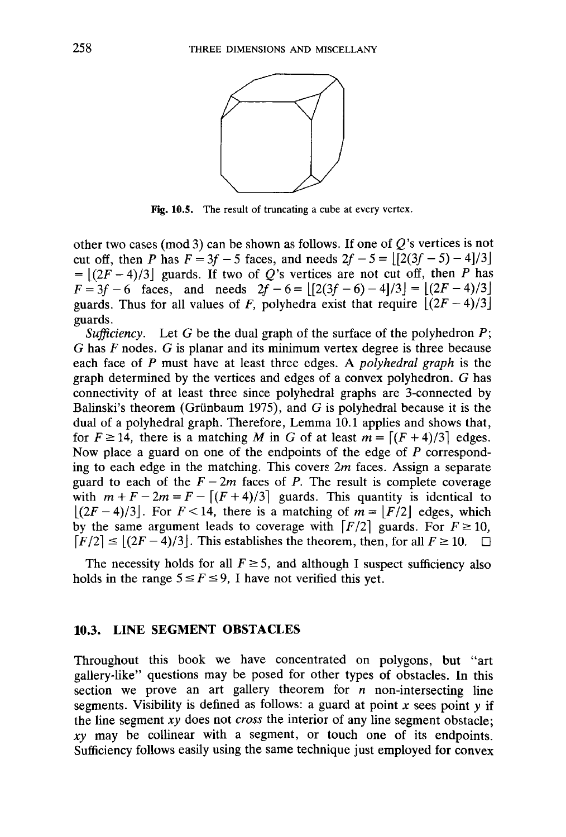

Fig. 10.5. The result of truncating a cube at every vertex.

other two cases (mod 3) can be shown as follows. If one of  $Q$ 's vertices is not cut off, then *P* has  $F = 3f - 5$  faces, and needs  $2f - 5 = |[2(3f - 5) - 4]/3|$  $= |(2F-4)/3|$  guards. If two of Q's vertices are not cut off, then P has  $F = 3f - 6$  faces, and needs  $2\bar{f} - 6 = [[2(3f - 6) - 4]/3] = [(2F - 4)/3]$ guards. Thus for all values of *F*, polyhedra exist that require  $\left[ (2F - 4)/3 \right]$ guards.

*Sufficiency.* Let *G* be the dual graph of the surface of the polyhedron *P; G* has *F* nodes. *G* is planar and its minimum vertex degree is three because each face of *P* must have at least three edges. A *polyhedral graph* is the graph determined by the vertices and edges of a convex polyhedron. *G* has connectivity of at least three since polyhedral graphs are 3-connected by Balinski's theorem (Griinbaum 1975), and *G* is polyhedral because it is the dual of a polyhedral graph. Therefore, Lemma 10.1 applies and shows that, for  $F \ge 14$ , there is a matching *M* in *G* of at least  $m = \frac{F(F + 4)}{3}$  edges. Now place a guard on one of the endpoints of the edge of *P* corresponding to each edge in the matching. This covers *2m* faces. Assign a separate guard to each of the  $F - 2m$  faces of P. The result is complete coverage with  $m + F - 2m = F - [(F + 4)/3]$  guards. This quantity is identical to  $[(2F-4)/3]$ . For  $F<14$ , there is a matching of  $m = |F/2|$  edges, which by the same argument leads to coverage with  $\lceil F/2 \rceil$  guards. For  $F \ge 10$ ,  $\lfloor F/2 \rfloor \leq \lfloor (2F - 4)/3 \rfloor$ . This establishes the theorem, then, for all  $F \geq 10$ .  $\Box$ 

The necessity holds for all  $F \geq 5$ , and although I suspect sufficiency also holds in the range  $5 \le F \le 9$ , I have not verified this yet.

#### **10.3. LINE SEGMENT OBSTACLES**

Throughout this book we have concentrated on polygons, but "art gallery-like" questions may be posed for other types of obstacles. In this section we prove an art gallery theorem for  $n$  non-intersecting line segments. Visibility is defined as follows: a guard at point  $x$  sees point  $y$  if the line segment *xy* does not *cross* the interior of any line segment obstacle; *xy* may be collinear with a segment, or touch one of its endpoints. Sufficiency follows easily using the same technique just employed for convex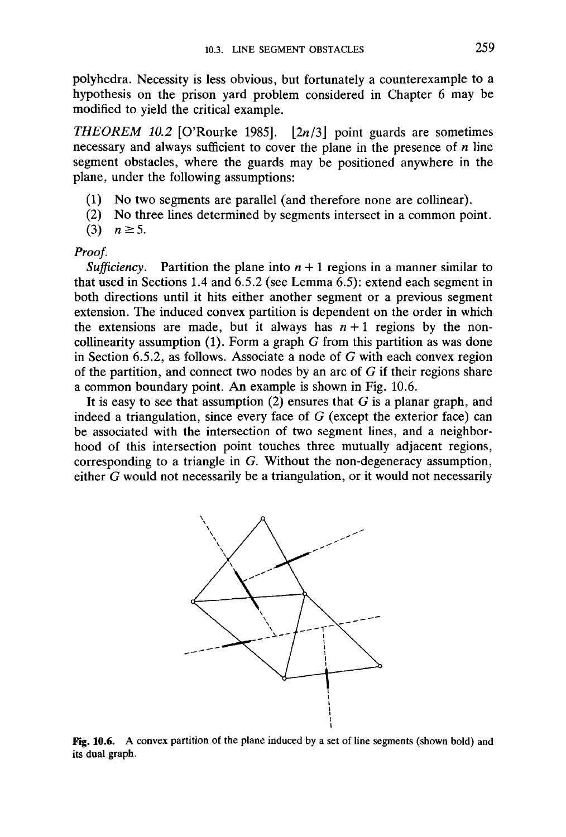polyhedra. Necessity is less obvious, but fortunately a counterexample to a hypothesis on the prison yard problem considered in Chapter 6 may be modified to yield the critical example.

**THEOREM** 10.2 [O'Rourke 1985].  $\lfloor 2n/3 \rfloor$  point guards are sometimes necessary and always sufficient to cover the plane in the presence of *n* line segment obstacles, where the guards may be positioned anywhere in the plane, under the following assumptions:

- (1) No two segments are parallel (and therefore none are collinear).
- (2) No three lines determined by segments intersect in a common point.

(3)  $n \ge 5$ .

#### *Proof.*

*Sufficiency.* Partition the plane into  $n + 1$  regions in a manner similar to that used in Sections 1.4 and 6.5.2 (see Lemma 6.5): extend each segment in both directions until it hits either another segment or a previous segment extension. The induced convex partition is dependent on the order in which the extensions are made, but it always has  $n+1$  regions by the noncollinearity assumption (1). Form a graph *G* from this partition as was done in Section 6.5.2, as follows. Associate a node of *G* with each convex region of the partition, and connect two nodes by an arc of *G* if their regions share a common boundary point. An example is shown in Fig. 10.6.

It is easy to see that assumption (2) ensures that *G* is a planar graph, and indeed a triangulation, since every face of *G* (except the exterior face) can be associated with the intersection of two segment lines, and a neighborhood of this intersection point touches three mutually adjacent regions, corresponding to a triangle in *G.* Without the non-degeneracy assumption, either *G* would not necessarily be a triangulation, or it would not necessarily



**Fig. 10.6.** A convex partition of the plane induced by a set of line segments (shown bold) and its dual graph.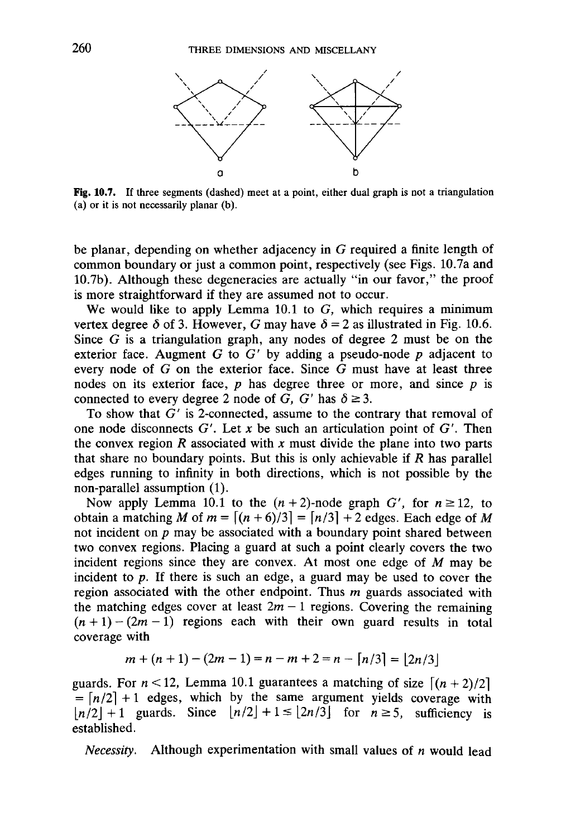

Fig. 10.7. If three segments (dashed) meet at a point, either dual graph is not a triangulation (a) or it is not necessarily planar (b).

be planar, depending on whether adjacency in G required a finite length of common boundary or just a common point, respectively (see Figs. 10.7a and 10.7b). Although these degeneracies are actually "in our favor," the proof is more straightforward if they are assumed not to occur.

We would like to apply Lemma 10.1 to *G,* which requires a minimum vertex degree  $\delta$  of 3. However, G may have  $\delta = 2$  as illustrated in Fig. 10.6. Since  $G$  is a triangulation graph, any nodes of degree 2 must be on the exterior face. Augment *G* to *G'* by adding a pseudo-node *p* adjacent to every node of *G* on the exterior face. Since *G* must have at least three nodes on its exterior face, *p* has degree three or more, and since *p* is connected to every degree 2 node of  $G$ ,  $G'$  has  $\delta \geq 3$ .

To show that *G'* is 2-connected, assume to the contrary that removal of one node disconnects  $G'$ . Let  $x$  be such an articulation point of  $G'$ . Then the convex region  $R$  associated with  $x$  must divide the plane into two parts that share no boundary points. But this is only achievable if *R* has parallel edges running to infinity in both directions, which is not possible by the non-parallel assumption (1).

Now apply Lemma 10.1 to the  $(n + 2)$ -node graph G', for  $n \ge 12$ , to obtain a matching *M* of  $m = \left\lfloor (n + 6)/3 \right\rfloor = \left\lfloor n/3 \right\rfloor + 2$  edges. Each edge of *M* not incident on *p* may be associated with a boundary point shared between two convex regions. Placing a guard at such a point clearly covers the two incident regions since they are convex. At most one edge of *M* may be incident to *p.* If there is such an edge, a guard may be used to cover the region associated with the other endpoint. Thus *m* guards associated with the matching edges cover at least  $2m - 1$  regions. Covering the remaining  $(n + 1) - (2m - 1)$  regions each with their own guard results in total coverage with

$$
m + (n + 1) - (2m - 1) = n - m + 2 = n - \lfloor n/3 \rfloor = \lfloor 2n/3 \rfloor
$$

guards. For  $n < 12$ , Lemma 10.1 guarantees a matching of size  $\left[\frac{n + 2}{2}\right]$  $= \lfloor n/2 \rfloor + 1$  edges, which by the same argument yields coverage with  $\lfloor n/2 \rfloor + 1$  guards. Since  $\lfloor n/2 \rfloor + 1 \leq \lfloor 2n/3 \rfloor$  for  $n \geq 5$ , sufficiency is established.

*Necessity.* Although experimentation with small values of *n* would lead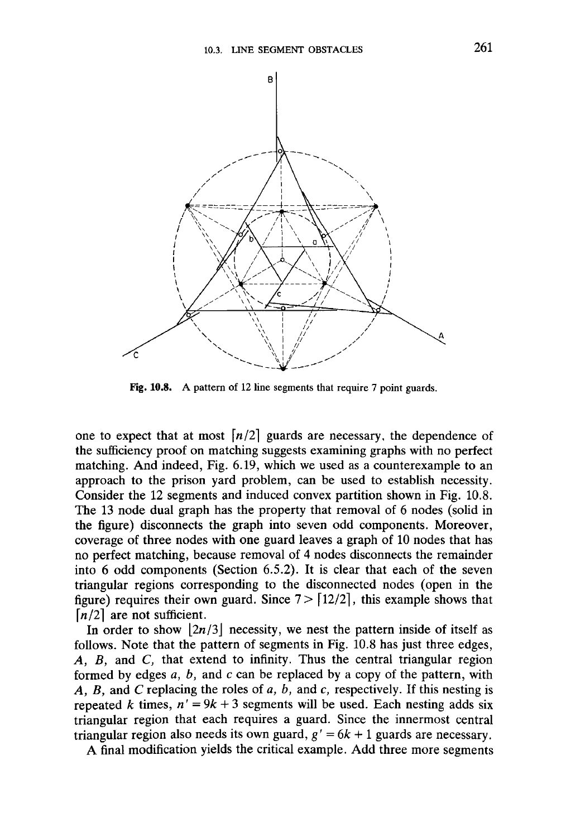

Fig. 10.8. A pattern of 12 line segments that require 7 point guards.

one to expect that at most  $\lfloor n/2 \rfloor$  guards are necessary, the dependence of the sufficiency proof on matching suggests examining graphs with no perfect matching. And indeed, Fig. 6.19, which we used as a counterexample to an approach to the prison yard problem, can be used to establish necessity. Consider the 12 segments and induced convex partition shown in Fig. 10.8. The 13 node dual graph has the property that removal of 6 nodes (solid in the figure) disconnects the graph into seven odd components. Moreover, coverage of three nodes with one guard leaves a graph of 10 nodes that has no perfect matching, because removal of 4 nodes disconnects the remainder into 6 odd components (Section 6.5.2). It is clear that each of the seven triangular regions corresponding to the disconnected nodes (open in the figure) requires their own guard. Since  $7 > [12/2]$ , this example shows that  $\lfloor n/2 \rfloor$  are not sufficient.

In order to show  $\lfloor 2n/3 \rfloor$  necessity, we nest the pattern inside of itself as follows. Note that the pattern of segments in Fig. 10.8 has just three edges, *A, B,* and *C,* that extend to infinity. Thus the central triangular region formed by edges *a, b,* and *c* can be replaced by a copy of the pattern, with *A, B,* and *C* replacing the roles of *a, b,* and *c,* respectively. If this nesting is repeated *k* times,  $n' = 9k + 3$  segments will be used. Each nesting adds six triangular region that each requires a guard. Since the innermost central triangular region also needs its own guard, *g' = 6k +* 1 guards are necessary.

A final modification yields the critical example. Add three more segments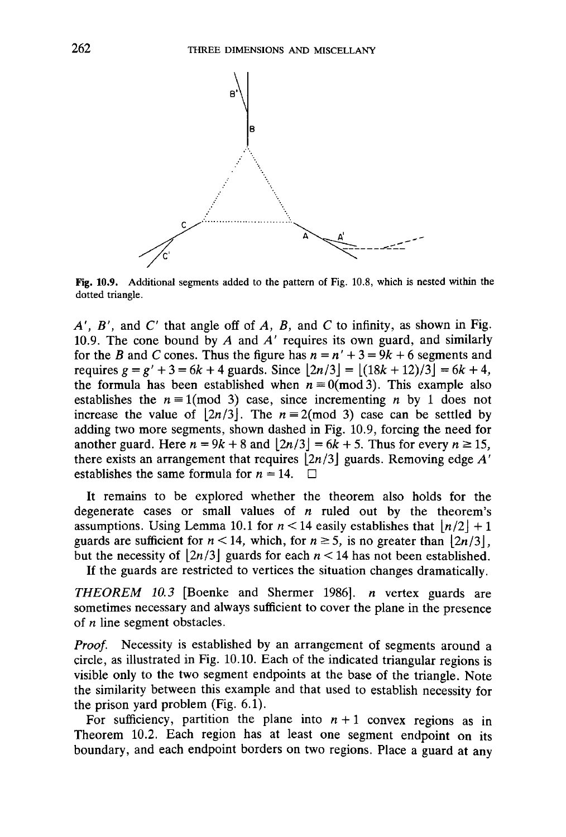

**Fig.** 10.9. Additional segments added to the pattern of Fig. 10.8, which is nested within the dotted triangle.

*A', B',* and C" that angle off of *A, B,* and *C* to infinity, as shown in Fig. 10.9. The cone bound by *A* and *A'* requires its own guard, and similarly for the *B* and *C* cones. Thus the figure has  $n = n' + 3 = 9k + 6$  segments and requires *g = g' + 3 = 6k + 4* guards. Since *[2n/3\ = [(18k +* 12)/3j = *6k +* 4, the formula has been established when  $n \equiv 0 \pmod{3}$ . This example also establishes the  $n \equiv 1 \pmod{3}$  case, since incrementing *n* by 1 does not increase the value of  $|2n/3|$ . The  $n \equiv 2 \pmod{3}$  case can be settled by adding two more segments, shown dashed in Fig. 10.9, forcing the need for another guard. Here  $n = 9k + 8$  and  $\lfloor 2n/3 \rfloor = 6k + 5$ . Thus for every  $n \ge 15$ , there exists an arrangement that requires *[2n/3\* guards. Removing edge *A'* establishes the same formula for  $n = 14$ .  $\Box$ 

It remains to be explored whether the theorem also holds for the degenerate cases or small values of *n* ruled out by the theorem's assumptions. Using Lemma 10.1 for  $n < 14$  easily establishes that  $\lfloor n/2 \rfloor + 1$ guards are sufficient for  $n < 14$ , which, for  $n \ge 5$ , is no greater than  $|2n/3|$ , but the necessity of  $\lfloor 2n/3 \rfloor$  guards for each  $n < 14$  has not been established. If the guards are restricted to vertices the situation changes dramatically.

*THEOREM 10.3* [Boenke and Shermer 1986]. *n* vertex guards are sometimes necessary and always sufficient to cover the plane in the presence of *n* line segment obstacles.

*Proof.* Necessity is established by an arrangement of segments around a circle, as illustrated in Fig. 10.10. Each of the indicated triangular regions is visible only to the two segment endpoints at the base of the triangle. Note the similarity between this example and that used to establish necessity for the prison yard problem (Fig. 6.1).

For sufficiency, partition the plane into  $n + 1$  convex regions as in Theorem 10.2. Each region has at least one segment endpoint on its boundary, and each endpoint borders on two regions. Place a guard at any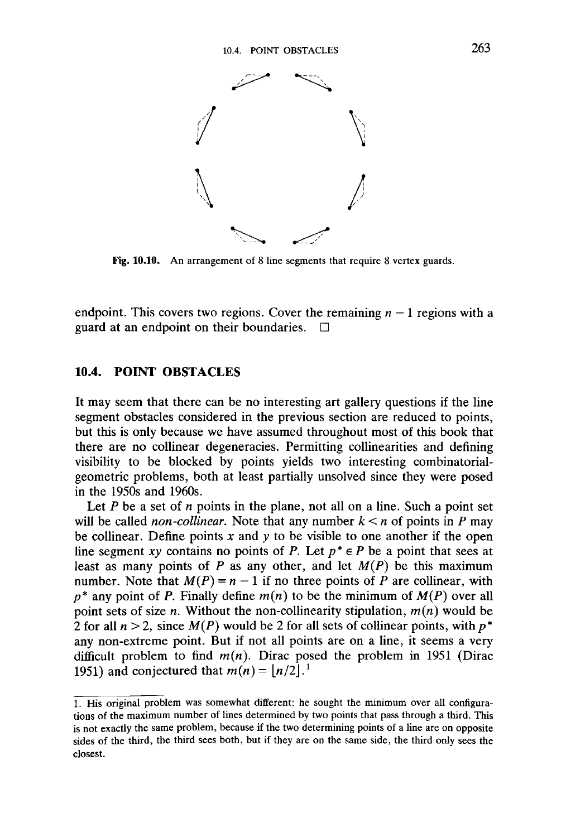

**Fig. 10.10.** An arrangement of 8 line segments that require 8 vertex guards.

endpoint. This covers two regions. Cover the remaining  $n - 1$  regions with a guard at an endpoint on their boundaries.  $\Box$ 

#### **10.4. POINT OBSTACLES**

It may seem that there can be no interesting art gallery questions if the line segment obstacles considered in the previous section are reduced to points, but this is only because we have assumed throughout most of this book that there are no collinear degeneracies. Permitting collinearities and defining visibility to be blocked by points yields two interesting combinatorialgeometric problems, both at least partially unsolved since they were posed in the 1950s and 1960s.

Let P be a set of *n* points in the plane, not all on a line. Such a point set will be called *non-collinear*. Note that any number  $k < n$  of points in P may be collinear. Define points *x* and *y* to be visible to one another if the open line segment *xy* contains no points of *P*. Let  $p^* \in P$  be a point that sees at least as many points of  $P$  as any other, and let  $M(P)$  be this maximum number. Note that  $M(P) = n - 1$  if no three points of P are collinear, with  $p^*$  any point of P. Finally define  $m(n)$  to be the minimum of  $M(P)$  over all point sets of size *n.* Without the non-collinearity stipulation, *m{n)* would be 2 for all *n > 2,* since *M(P)* would be 2 for all sets of collinear points, with *p\** any non-extreme point. But if not all points are on a line, it seems a very difficult problem to find  $m(n)$ . Dirac posed the problem in 1951 (Dirac 1951) and conjectured that  $m(n) = \lfloor n/2 \rfloor$ .<sup>1</sup>

<sup>1.</sup> His original problem was somewhat different: he sought the minimum over all configurations of the maximum number of lines determined by two points that pass through a third. This is not exactly the same problem, because if the two determining points of a line are on opposite sides of the third, the third sees both, but if they are on the same side, the third only sees the closest.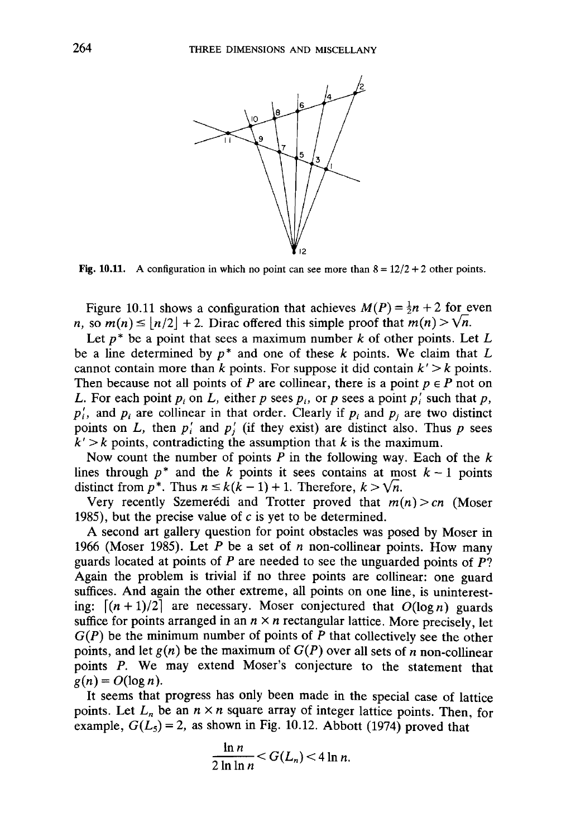

**Fig. 10.11.** A configuration in which no point can see more than  $8 = 12/2 + 2$  other points.

Figure 10.11 shows a configuration that achieves  $M(P) = \frac{1}{2}n + 2$  for even *n*, so  $m(n) \leq \lfloor n/2 \rfloor + 2$ . Dirac offered this simple proof that  $m(n) > \sqrt{n}$ .

Let *p\** be a point that sees a maximum number *k* of other points. Let *L* be a line determined by *p\** and one of these *k* points. We claim that *L* cannot contain more than  $k$  points. For suppose it did contain  $k' > k$  points. Then because not all points of *P* are collinear, there is a point  $p \in P$  not on *L.* For each point  $p_i$  on *L*, either *p* sees  $p_i$ , or *p* sees a point  $p_i$  such that *p*,  $p'_i$ , and  $p_i$  are collinear in that order. Clearly if  $p_i$  and  $p_j$  are two distinct points on  $L$ , then  $p_i$  and  $p_j$  (if they exist) are distinct also. Thus  $p$  sees  $k' > k$  points, contradicting the assumption that  $k$  is the maximum.

Now count the number of points *P* in the following way. Each of the *k* lines through  $p^*$  and the k points it sees contains at most  $k-1$  points distinct from  $p^*$ . Thus  $n \leq k(k-1) + 1$ . Therefore,  $k > \sqrt{n}$ .

Very recently Szemerédi and Trotter proved that  $m(n) > cn$  (Moser 1985), but the precise value of  $c$  is yet to be determined.

A second art gallery question for point obstacles was posed by Moser in 1966 (Moser 1985). Let *P* be a set of *n* non-collinear points. How many guards located at points of *P* are needed to see the unguarded points of P? Again the problem is trivial if no three points are collinear: one guard suffices. And again the other extreme, all points on one line, is uninteresting:  $\lceil (n + 1)/2 \rceil$  are necessary. Moser conjectured that  $O(\log n)$  guards suffice for points arranged in an  $n \times n$  rectangular lattice. More precisely, let  $G(P)$  be the minimum number of points of  $\overline{P}$  that collectively see the other points, and let *g(n)* be the maximum of *G(P)* over all sets of *n* non-collinear points P. We may extend Moser's conjecture to the statement that  $g(n) = O(\log n)$ .

It seems that progress has only been made in the special case of lattice points. Let  $L_n$  be an  $n \times n$  square array of integer lattice points. Then, for example,  $G(L_5) = 2$ , as shown in Fig. 10.12. Abbott (1974) proved that

$$
\frac{\ln n}{2\ln\ln n} < G(L_n) < 4\ln n.
$$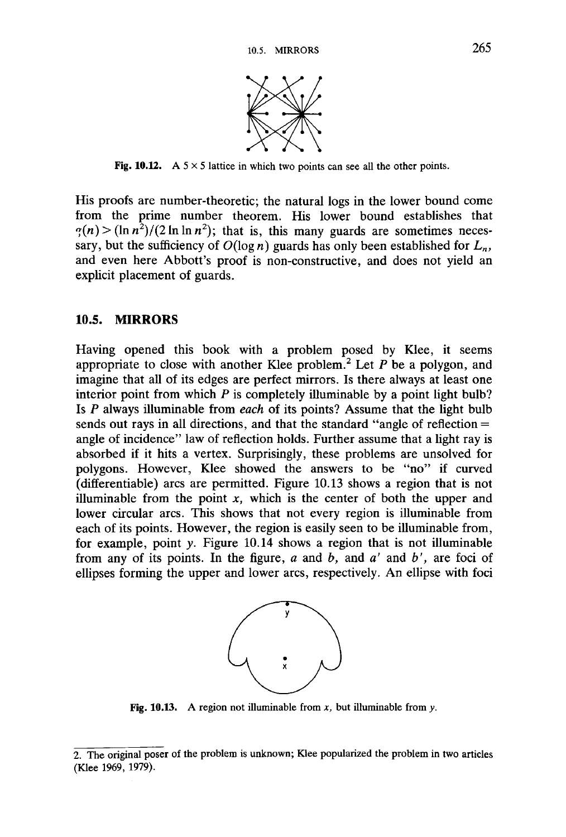

**Fig. 10.12.** A  $5 \times 5$  lattice in which two points can see all the other points.

His proofs are number-theoretic; the natural logs in the lower bound come from the prime number theorem. His lower bound establishes that  $\gamma(n)$  >  $(\ln n^2)/(2 \ln \ln n^2)$ ; that is, this many guards are sometimes necessary, but the sufficiency of  $O(\log n)$  guards has only been established for  $L_n$ , and even here Abbott's proof is non-constructive, and does not yield an explicit placement of guards.

#### **10.5. MIRRORS**

Having opened this book with a problem posed by Klee, it seems appropriate to close with another Klee problem.<sup>2</sup> Let *P* be a polygon, and imagine that all of its edges are perfect mirrors. Is there always at least one interior point from which *P* is completely illuminable by a point light bulb? Is *P* always illuminable from *each* of its points? Assume that the light bulb sends out rays in all directions, and that the standard "angle of reflection = angle of incidence" law of reflection holds. Further assume that a light ray is absorbed if it hits a vertex. Surprisingly, these problems are unsolved for polygons. However, Klee showed the answers to be "no" if curved (differentiable) arcs are permitted. Figure 10.13 shows a region that is not illuminable from the point  $x$ , which is the center of both the upper and lower circular arcs. This shows that not every region is illuminable from each of its points. However, the region is easily seen to be illuminable from, for example, point *y.* Figure 10.14 shows a region that is not illuminable from any of its points. In the figure, *a* and *b,* and *a'* and *b',* are foci of ellipses forming the upper and lower arcs, respectively. An ellipse with foci



**Fig. 10.13.** A region not illuminable from *x,* but illuminable from *y.*

<sup>2.</sup> The original poser of the problem is unknown; Klee popularized the problem in two articles (Klee 1969, 1979).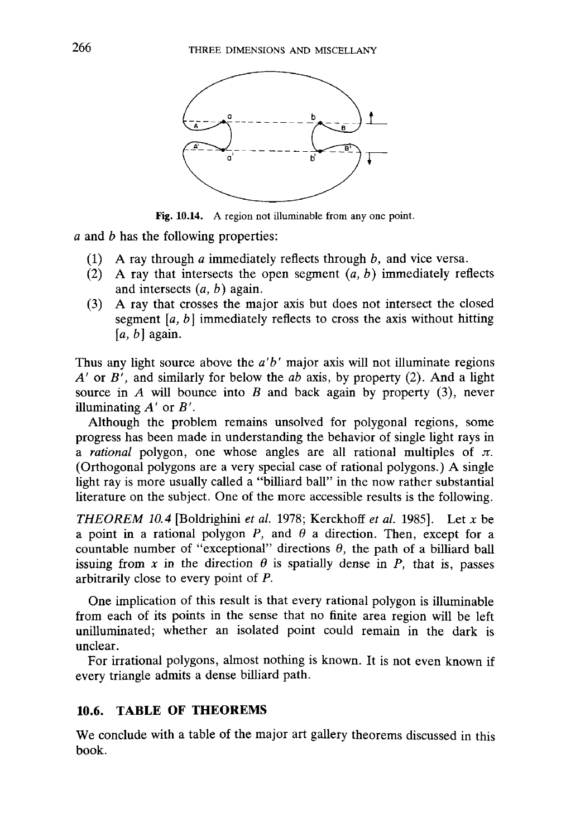

Fig. 10.14. A region not illuminable from any one point.

*a* and *b* has the following properties:

- (1) A ray through *a* immediately reflects through *b,* and vice versa.
- (2) A ray that intersects the open segment *{a, b)* immediately reflects and intersects *{a, b)* again.
- (3) A ray that crosses the major axis but does not intersect the closed segment *[a, b]* immediately reflects to cross the axis without hitting *[a, b]* again.

Thus any light source above the *a'b'* major axis will not illuminate regions *A'* or *B',* and similarly for below the *ab* axis, by property (2). And a light source in *A* will bounce into *B* and back again by property (3), never illuminating *A'* or *B'.*

Although the problem remains unsolved for polygonal regions, some progress has been made in understanding the behavior of single light rays in a *rational* polygon, one whose angles are all rational multiples of  $\pi$ . (Orthogonal polygons are a very special case of rational polygons.) A single light ray is more usually called a "billiard ball" in the now rather substantial literature on the subject. One of the more accessible results is the following.

*THEOREM 10.4* [Boldrighini *et al.* 1978; Kerckhoff *et al.* 1985]. Let *x* be a point in a rational polygon  $P$ , and  $\theta$  a direction. Then, except for a countable number of "exceptional" directions  $\theta$ , the path of a billiard ball issuing from x in the direction  $\theta$  is spatially dense in P, that is, passes arbitrarily close to every point of *P.*

One implication of this result is that every rational polygon is illuminable from each of its points in the sense that no finite area region will be left unilluminated; whether an isolated point could remain in the dark is unclear.

For irrational polygons, almost nothing is known. It is not even known if every triangle admits a dense billiard path.

# **10.6. TABLE OF THEOREMS**

We conclude with a table of the major art gallery theorems discussed in this book.